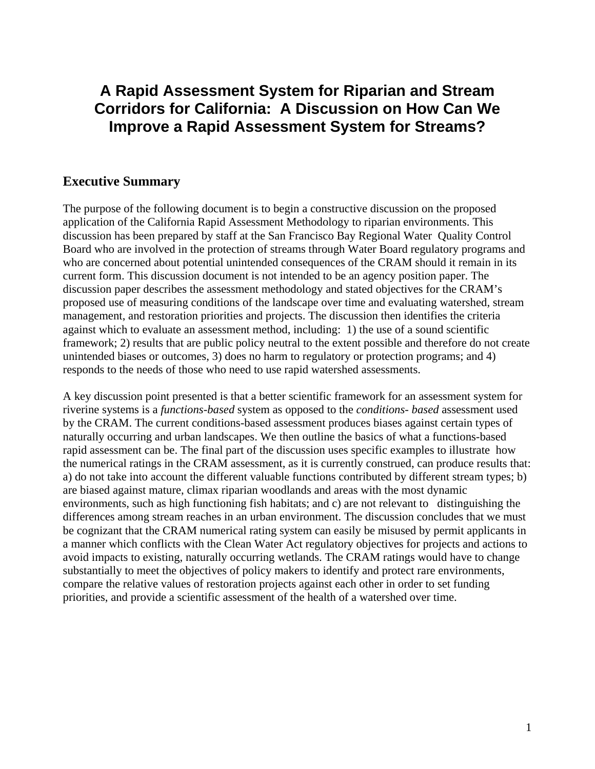# **A Rapid Assessment System for Riparian and Stream Corridors for California: A Discussion on How Can We Improve a Rapid Assessment System for Streams?**

### **Executive Summary**

The purpose of the following document is to begin a constructive discussion on the proposed application of the California Rapid Assessment Methodology to riparian environments. This discussion has been prepared by staff at the San Francisco Bay Regional Water Quality Control Board who are involved in the protection of streams through Water Board regulatory programs and who are concerned about potential unintended consequences of the CRAM should it remain in its current form. This discussion document is not intended to be an agency position paper. The discussion paper describes the assessment methodology and stated objectives for the CRAM's proposed use of measuring conditions of the landscape over time and evaluating watershed, stream management, and restoration priorities and projects. The discussion then identifies the criteria against which to evaluate an assessment method, including: 1) the use of a sound scientific framework; 2) results that are public policy neutral to the extent possible and therefore do not create unintended biases or outcomes, 3) does no harm to regulatory or protection programs; and 4) responds to the needs of those who need to use rapid watershed assessments.

A key discussion point presented is that a better scientific framework for an assessment system for riverine systems is a *functions-based* system as opposed to the *conditions- based* assessment used by the CRAM. The current conditions-based assessment produces biases against certain types of naturally occurring and urban landscapes. We then outline the basics of what a functions-based rapid assessment can be. The final part of the discussion uses specific examples to illustrate how the numerical ratings in the CRAM assessment, as it is currently construed, can produce results that: a) do not take into account the different valuable functions contributed by different stream types; b) are biased against mature, climax riparian woodlands and areas with the most dynamic environments, such as high functioning fish habitats; and c) are not relevant to distinguishing the differences among stream reaches in an urban environment. The discussion concludes that we must be cognizant that the CRAM numerical rating system can easily be misused by permit applicants in a manner which conflicts with the Clean Water Act regulatory objectives for projects and actions to avoid impacts to existing, naturally occurring wetlands. The CRAM ratings would have to change substantially to meet the objectives of policy makers to identify and protect rare environments, compare the relative values of restoration projects against each other in order to set funding priorities, and provide a scientific assessment of the health of a watershed over time.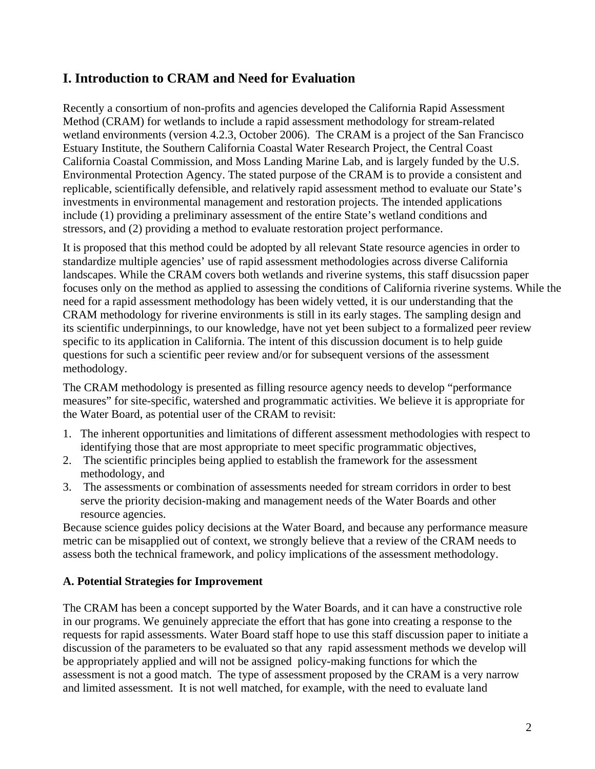# **I. Introduction to CRAM and Need for Evaluation**

Recently a consortium of non-profits and agencies developed the California Rapid Assessment Method (CRAM) for wetlands to include a rapid assessment methodology for stream-related wetland environments (version 4.2.3, October 2006). The CRAM is a project of the San Francisco Estuary Institute, the Southern California Coastal Water Research Project, the Central Coast California Coastal Commission, and Moss Landing Marine Lab, and is largely funded by the U.S. Environmental Protection Agency. The stated purpose of the CRAM is to provide a consistent and replicable, scientifically defensible, and relatively rapid assessment method to evaluate our State's investments in environmental management and restoration projects. The intended applications include (1) providing a preliminary assessment of the entire State's wetland conditions and stressors, and (2) providing a method to evaluate restoration project performance.

It is proposed that this method could be adopted by all relevant State resource agencies in order to standardize multiple agencies' use of rapid assessment methodologies across diverse California landscapes. While the CRAM covers both wetlands and riverine systems, this staff disucssion paper focuses only on the method as applied to assessing the conditions of California riverine systems. While the need for a rapid assessment methodology has been widely vetted, it is our understanding that the CRAM methodology for riverine environments is still in its early stages. The sampling design and its scientific underpinnings, to our knowledge, have not yet been subject to a formalized peer review specific to its application in California. The intent of this discussion document is to help guide questions for such a scientific peer review and/or for subsequent versions of the assessment methodology.

The CRAM methodology is presented as filling resource agency needs to develop "performance measures" for site-specific, watershed and programmatic activities. We believe it is appropriate for the Water Board, as potential user of the CRAM to revisit:

- 1. The inherent opportunities and limitations of different assessment methodologies with respect to identifying those that are most appropriate to meet specific programmatic objectives,
- 2. The scientific principles being applied to establish the framework for the assessment methodology, and
- 3. The assessments or combination of assessments needed for stream corridors in order to best serve the priority decision-making and management needs of the Water Boards and other resource agencies.

Because science guides policy decisions at the Water Board, and because any performance measure metric can be misapplied out of context, we strongly believe that a review of the CRAM needs to assess both the technical framework, and policy implications of the assessment methodology.

#### **A. Potential Strategies for Improvement**

The CRAM has been a concept supported by the Water Boards, and it can have a constructive role in our programs. We genuinely appreciate the effort that has gone into creating a response to the requests for rapid assessments. Water Board staff hope to use this staff discussion paper to initiate a discussion of the parameters to be evaluated so that any rapid assessment methods we develop will be appropriately applied and will not be assigned policy-making functions for which the assessment is not a good match. The type of assessment proposed by the CRAM is a very narrow and limited assessment. It is not well matched, for example, with the need to evaluate land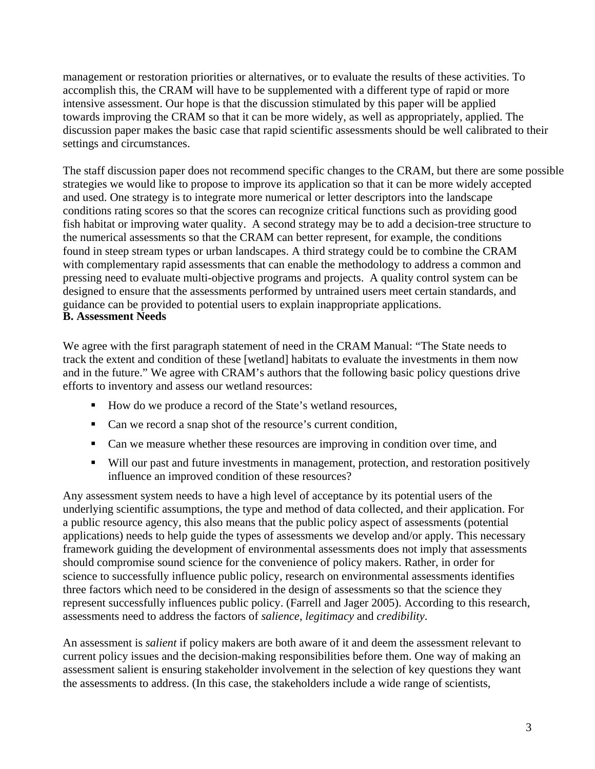management or restoration priorities or alternatives, or to evaluate the results of these activities. To accomplish this, the CRAM will have to be supplemented with a different type of rapid or more intensive assessment. Our hope is that the discussion stimulated by this paper will be applied towards improving the CRAM so that it can be more widely, as well as appropriately, applied. The discussion paper makes the basic case that rapid scientific assessments should be well calibrated to their settings and circumstances.

The staff discussion paper does not recommend specific changes to the CRAM, but there are some possible strategies we would like to propose to improve its application so that it can be more widely accepted and used. One strategy is to integrate more numerical or letter descriptors into the landscape conditions rating scores so that the scores can recognize critical functions such as providing good fish habitat or improving water quality. A second strategy may be to add a decision-tree structure to the numerical assessments so that the CRAM can better represent, for example, the conditions found in steep stream types or urban landscapes. A third strategy could be to combine the CRAM with complementary rapid assessments that can enable the methodology to address a common and pressing need to evaluate multi-objective programs and projects. A quality control system can be designed to ensure that the assessments performed by untrained users meet certain standards, and guidance can be provided to potential users to explain inappropriate applications. **B. Assessment Needs** 

We agree with the first paragraph statement of need in the CRAM Manual: "The State needs to track the extent and condition of these [wetland] habitats to evaluate the investments in them now and in the future." We agree with CRAM's authors that the following basic policy questions drive efforts to inventory and assess our wetland resources:

- How do we produce a record of the State's wetland resources,
- Can we record a snap shot of the resource's current condition,
- Can we measure whether these resources are improving in condition over time, and
- Will our past and future investments in management, protection, and restoration positively influence an improved condition of these resources?

Any assessment system needs to have a high level of acceptance by its potential users of the underlying scientific assumptions, the type and method of data collected, and their application. For a public resource agency, this also means that the public policy aspect of assessments (potential applications) needs to help guide the types of assessments we develop and/or apply. This necessary framework guiding the development of environmental assessments does not imply that assessments should compromise sound science for the convenience of policy makers. Rather, in order for science to successfully influence public policy, research on environmental assessments identifies three factors which need to be considered in the design of assessments so that the science they represent successfully influences public policy. (Farrell and Jager 2005). According to this research, assessments need to address the factors of *salience*, *legitimacy* and *credibility*.

An assessment is *salient* if policy makers are both aware of it and deem the assessment relevant to current policy issues and the decision-making responsibilities before them. One way of making an assessment salient is ensuring stakeholder involvement in the selection of key questions they want the assessments to address. (In this case, the stakeholders include a wide range of scientists,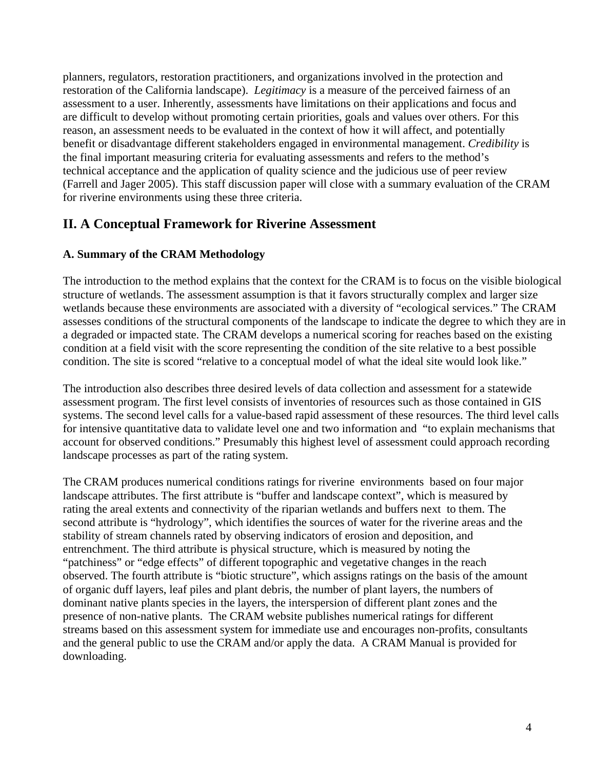planners, regulators, restoration practitioners, and organizations involved in the protection and restoration of the California landscape). *Legitimacy* is a measure of the perceived fairness of an assessment to a user. Inherently, assessments have limitations on their applications and focus and are difficult to develop without promoting certain priorities, goals and values over others. For this reason, an assessment needs to be evaluated in the context of how it will affect, and potentially benefit or disadvantage different stakeholders engaged in environmental management. *Credibility* is the final important measuring criteria for evaluating assessments and refers to the method's technical acceptance and the application of quality science and the judicious use of peer review (Farrell and Jager 2005). This staff discussion paper will close with a summary evaluation of the CRAM for riverine environments using these three criteria.

# **II. A Conceptual Framework for Riverine Assessment**

### **A. Summary of the CRAM Methodology**

The introduction to the method explains that the context for the CRAM is to focus on the visible biological structure of wetlands. The assessment assumption is that it favors structurally complex and larger size wetlands because these environments are associated with a diversity of "ecological services." The CRAM assesses conditions of the structural components of the landscape to indicate the degree to which they are in a degraded or impacted state. The CRAM develops a numerical scoring for reaches based on the existing condition at a field visit with the score representing the condition of the site relative to a best possible condition. The site is scored "relative to a conceptual model of what the ideal site would look like."

The introduction also describes three desired levels of data collection and assessment for a statewide assessment program. The first level consists of inventories of resources such as those contained in GIS systems. The second level calls for a value-based rapid assessment of these resources. The third level calls for intensive quantitative data to validate level one and two information and "to explain mechanisms that account for observed conditions." Presumably this highest level of assessment could approach recording landscape processes as part of the rating system.

The CRAM produces numerical conditions ratings for riverine environments based on four major landscape attributes. The first attribute is "buffer and landscape context", which is measured by rating the areal extents and connectivity of the riparian wetlands and buffers next to them. The second attribute is "hydrology", which identifies the sources of water for the riverine areas and the stability of stream channels rated by observing indicators of erosion and deposition, and entrenchment. The third attribute is physical structure, which is measured by noting the "patchiness" or "edge effects" of different topographic and vegetative changes in the reach observed. The fourth attribute is "biotic structure", which assigns ratings on the basis of the amount of organic duff layers, leaf piles and plant debris, the number of plant layers, the numbers of dominant native plants species in the layers, the interspersion of different plant zones and the presence of non-native plants. The CRAM website publishes numerical ratings for different streams based on this assessment system for immediate use and encourages non-profits, consultants and the general public to use the CRAM and/or apply the data. A CRAM Manual is provided for downloading.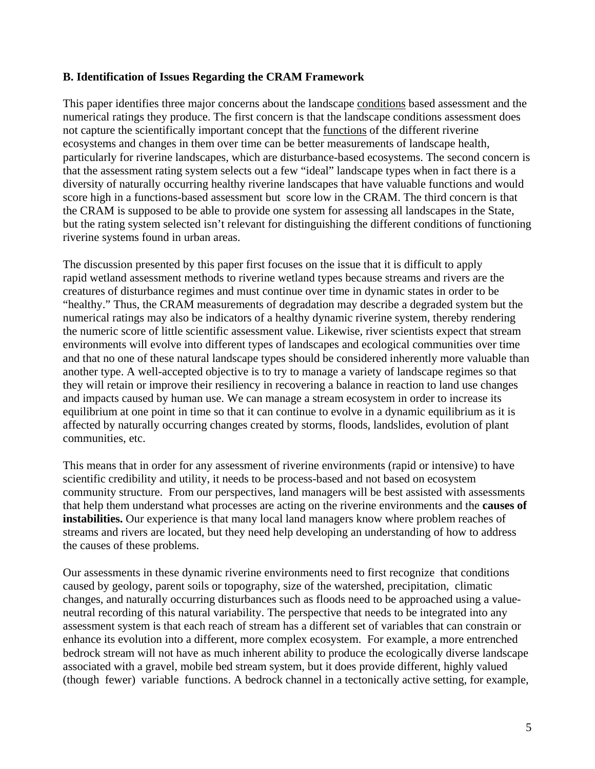#### **B. Identification of Issues Regarding the CRAM Framework**

This paper identifies three major concerns about the landscape conditions based assessment and the numerical ratings they produce. The first concern is that the landscape conditions assessment does not capture the scientifically important concept that the functions of the different riverine ecosystems and changes in them over time can be better measurements of landscape health, particularly for riverine landscapes, which are disturbance-based ecosystems. The second concern is that the assessment rating system selects out a few "ideal" landscape types when in fact there is a diversity of naturally occurring healthy riverine landscapes that have valuable functions and would score high in a functions-based assessment but score low in the CRAM. The third concern is that the CRAM is supposed to be able to provide one system for assessing all landscapes in the State, but the rating system selected isn't relevant for distinguishing the different conditions of functioning riverine systems found in urban areas.

The discussion presented by this paper first focuses on the issue that it is difficult to apply rapid wetland assessment methods to riverine wetland types because streams and rivers are the creatures of disturbance regimes and must continue over time in dynamic states in order to be "healthy." Thus, the CRAM measurements of degradation may describe a degraded system but the numerical ratings may also be indicators of a healthy dynamic riverine system, thereby rendering the numeric score of little scientific assessment value. Likewise, river scientists expect that stream environments will evolve into different types of landscapes and ecological communities over time and that no one of these natural landscape types should be considered inherently more valuable than another type. A well-accepted objective is to try to manage a variety of landscape regimes so that they will retain or improve their resiliency in recovering a balance in reaction to land use changes and impacts caused by human use. We can manage a stream ecosystem in order to increase its equilibrium at one point in time so that it can continue to evolve in a dynamic equilibrium as it is affected by naturally occurring changes created by storms, floods, landslides, evolution of plant communities, etc.

This means that in order for any assessment of riverine environments (rapid or intensive) to have scientific credibility and utility, it needs to be process-based and not based on ecosystem community structure. From our perspectives, land managers will be best assisted with assessments that help them understand what processes are acting on the riverine environments and the **causes of instabilities.** Our experience is that many local land managers know where problem reaches of streams and rivers are located, but they need help developing an understanding of how to address the causes of these problems.

Our assessments in these dynamic riverine environments need to first recognize that conditions caused by geology, parent soils or topography, size of the watershed, precipitation, climatic changes, and naturally occurring disturbances such as floods need to be approached using a valueneutral recording of this natural variability. The perspective that needs to be integrated into any assessment system is that each reach of stream has a different set of variables that can constrain or enhance its evolution into a different, more complex ecosystem. For example, a more entrenched bedrock stream will not have as much inherent ability to produce the ecologically diverse landscape associated with a gravel, mobile bed stream system, but it does provide different, highly valued (though fewer) variable functions. A bedrock channel in a tectonically active setting, for example,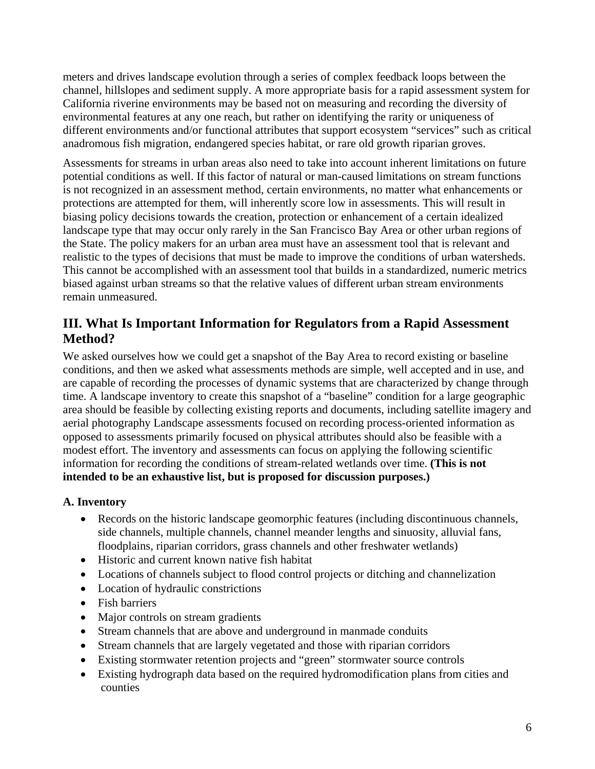meters and drives landscape evolution through a series of complex feedback loops between the channel, hillslopes and sediment supply. A more appropriate basis for a rapid assessment system for California riverine environments may be based not on measuring and recording the diversity of environmental features at any one reach, but rather on identifying the rarity or uniqueness of different environments and/or functional attributes that support ecosystem "services" such as critical anadromous fish migration, endangered species habitat, or rare old growth riparian groves.

Assessments for streams in urban areas also need to take into account inherent limitations on future potential conditions as well. If this factor of natural or man-caused limitations on stream functions is not recognized in an assessment method, certain environments, no matter what enhancements or protections are attempted for them, will inherently score low in assessments. This will result in biasing policy decisions towards the creation, protection or enhancement of a certain idealized landscape type that may occur only rarely in the San Francisco Bay Area or other urban regions of the State. The policy makers for an urban area must have an assessment tool that is relevant and realistic to the types of decisions that must be made to improve the conditions of urban watersheds. This cannot be accomplished with an assessment tool that builds in a standardized, numeric metrics biased against urban streams so that the relative values of different urban stream environments remain unmeasured.

# **III. What Is Important Information for Regulators from a Rapid Assessment Method?**

We asked ourselves how we could get a snapshot of the Bay Area to record existing or baseline conditions, and then we asked what assessments methods are simple, well accepted and in use, and are capable of recording the processes of dynamic systems that are characterized by change through time. A landscape inventory to create this snapshot of a "baseline" condition for a large geographic area should be feasible by collecting existing reports and documents, including satellite imagery and aerial photography Landscape assessments focused on recording process-oriented information as opposed to assessments primarily focused on physical attributes should also be feasible with a modest effort. The inventory and assessments can focus on applying the following scientific information for recording the conditions of stream-related wetlands over time. **(This is not intended to be an exhaustive list, but is proposed for discussion purposes.)**

### **A. Inventory**

- Records on the historic landscape geomorphic features (including discontinuous channels, side channels, multiple channels, channel meander lengths and sinuosity, alluvial fans, floodplains, riparian corridors, grass channels and other freshwater wetlands)
- Historic and current known native fish habitat
- Locations of channels subject to flood control projects or ditching and channelization
- Location of hydraulic constrictions
- Fish barriers
- Major controls on stream gradients
- Stream channels that are above and underground in manmade conduits
- Stream channels that are largely vegetated and those with riparian corridors
- Existing stormwater retention projects and "green" stormwater source controls
- Existing hydrograph data based on the required hydromodification plans from cities and counties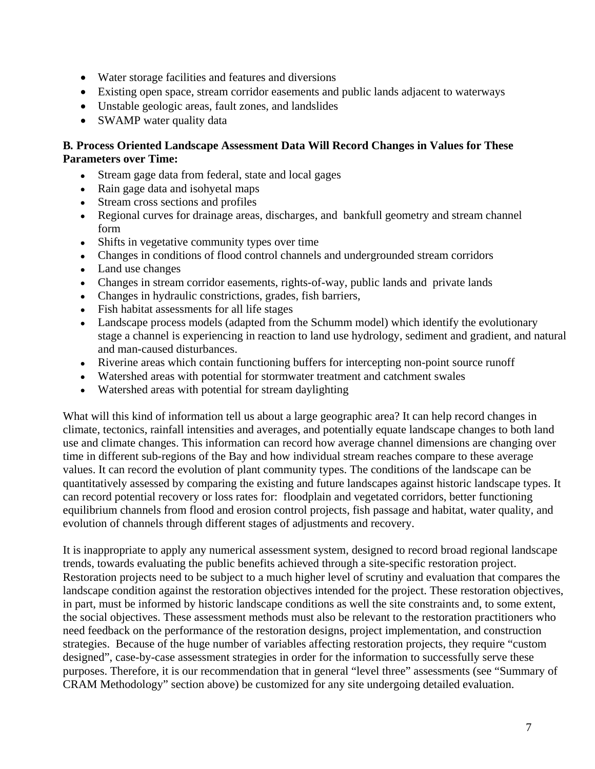- Water storage facilities and features and diversions
- Existing open space, stream corridor easements and public lands adjacent to waterways
- Unstable geologic areas, fault zones, and landslides
- SWAMP water quality data

#### **B***.* **Process Oriented Landscape Assessment Data Will Record Changes in Values for These Parameters over Time:**

- Stream gage data from federal, state and local gages
- Rain gage data and isohyetal maps
- Stream cross sections and profiles
- Regional curves for drainage areas, discharges, and bankfull geometry and stream channel form
- Shifts in vegetative community types over time
- Changes in conditions of flood control channels and undergrounded stream corridors
- Land use changes
- Changes in stream corridor easements, rights-of-way, public lands and private lands
- Changes in hydraulic constrictions, grades, fish barriers,
- Fish habitat assessments for all life stages
- Landscape process models (adapted from the Schumm model) which identify the evolutionary stage a channel is experiencing in reaction to land use hydrology, sediment and gradient, and natural and man-caused disturbances.
- Riverine areas which contain functioning buffers for intercepting non-point source runoff
- Watershed areas with potential for stormwater treatment and catchment swales
- Watershed areas with potential for stream daylighting

What will this kind of information tell us about a large geographic area? It can help record changes in climate, tectonics, rainfall intensities and averages, and potentially equate landscape changes to both land use and climate changes. This information can record how average channel dimensions are changing over time in different sub-regions of the Bay and how individual stream reaches compare to these average values. It can record the evolution of plant community types. The conditions of the landscape can be quantitatively assessed by comparing the existing and future landscapes against historic landscape types. It can record potential recovery or loss rates for: floodplain and vegetated corridors, better functioning equilibrium channels from flood and erosion control projects, fish passage and habitat, water quality, and evolution of channels through different stages of adjustments and recovery.

It is inappropriate to apply any numerical assessment system, designed to record broad regional landscape trends, towards evaluating the public benefits achieved through a site-specific restoration project. Restoration projects need to be subject to a much higher level of scrutiny and evaluation that compares the landscape condition against the restoration objectives intended for the project. These restoration objectives, in part, must be informed by historic landscape conditions as well the site constraints and, to some extent, the social objectives. These assessment methods must also be relevant to the restoration practitioners who need feedback on the performance of the restoration designs, project implementation, and construction strategies. Because of the huge number of variables affecting restoration projects, they require "custom designed", case-by-case assessment strategies in order for the information to successfully serve these purposes. Therefore, it is our recommendation that in general "level three" assessments (see "Summary of CRAM Methodology" section above) be customized for any site undergoing detailed evaluation.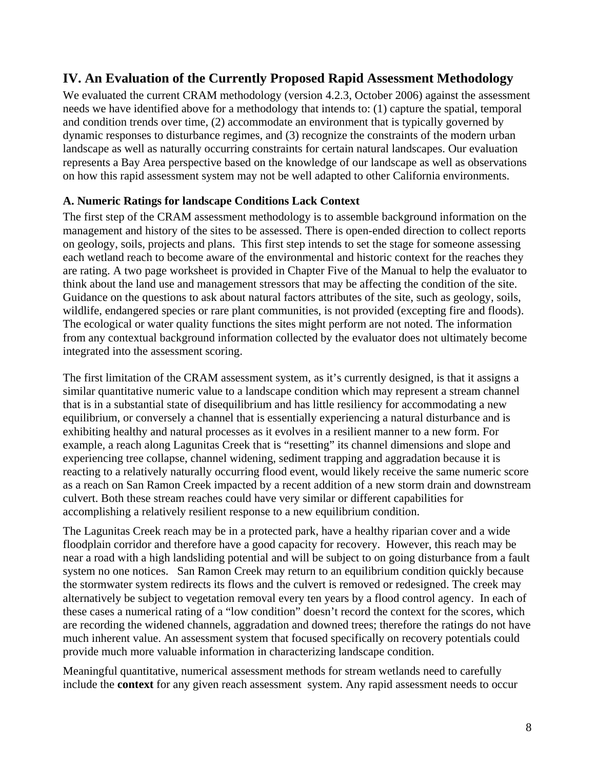## **IV. An Evaluation of the Currently Proposed Rapid Assessment Methodology**

We evaluated the current CRAM methodology (version 4.2.3, October 2006) against the assessment needs we have identified above for a methodology that intends to: (1) capture the spatial, temporal and condition trends over time, (2) accommodate an environment that is typically governed by dynamic responses to disturbance regimes, and (3) recognize the constraints of the modern urban landscape as well as naturally occurring constraints for certain natural landscapes. Our evaluation represents a Bay Area perspective based on the knowledge of our landscape as well as observations on how this rapid assessment system may not be well adapted to other California environments.

#### **A. Numeric Ratings for landscape Conditions Lack Context**

The first step of the CRAM assessment methodology is to assemble background information on the management and history of the sites to be assessed. There is open-ended direction to collect reports on geology, soils, projects and plans. This first step intends to set the stage for someone assessing each wetland reach to become aware of the environmental and historic context for the reaches they are rating. A two page worksheet is provided in Chapter Five of the Manual to help the evaluator to think about the land use and management stressors that may be affecting the condition of the site. Guidance on the questions to ask about natural factors attributes of the site, such as geology, soils, wildlife, endangered species or rare plant communities, is not provided (excepting fire and floods). The ecological or water quality functions the sites might perform are not noted. The information from any contextual background information collected by the evaluator does not ultimately become integrated into the assessment scoring.

The first limitation of the CRAM assessment system, as it's currently designed, is that it assigns a similar quantitative numeric value to a landscape condition which may represent a stream channel that is in a substantial state of disequilibrium and has little resiliency for accommodating a new equilibrium, or conversely a channel that is essentially experiencing a natural disturbance and is exhibiting healthy and natural processes as it evolves in a resilient manner to a new form. For example, a reach along Lagunitas Creek that is "resetting" its channel dimensions and slope and experiencing tree collapse, channel widening, sediment trapping and aggradation because it is reacting to a relatively naturally occurring flood event, would likely receive the same numeric score as a reach on San Ramon Creek impacted by a recent addition of a new storm drain and downstream culvert. Both these stream reaches could have very similar or different capabilities for accomplishing a relatively resilient response to a new equilibrium condition.

The Lagunitas Creek reach may be in a protected park, have a healthy riparian cover and a wide floodplain corridor and therefore have a good capacity for recovery. However, this reach may be near a road with a high landsliding potential and will be subject to on going disturbance from a fault system no one notices. San Ramon Creek may return to an equilibrium condition quickly because the stormwater system redirects its flows and the culvert is removed or redesigned. The creek may alternatively be subject to vegetation removal every ten years by a flood control agency. In each of these cases a numerical rating of a "low condition" doesn't record the context for the scores, which are recording the widened channels, aggradation and downed trees; therefore the ratings do not have much inherent value. An assessment system that focused specifically on recovery potentials could provide much more valuable information in characterizing landscape condition.

Meaningful quantitative, numerical assessment methods for stream wetlands need to carefully include the **context** for any given reach assessment system. Any rapid assessment needs to occur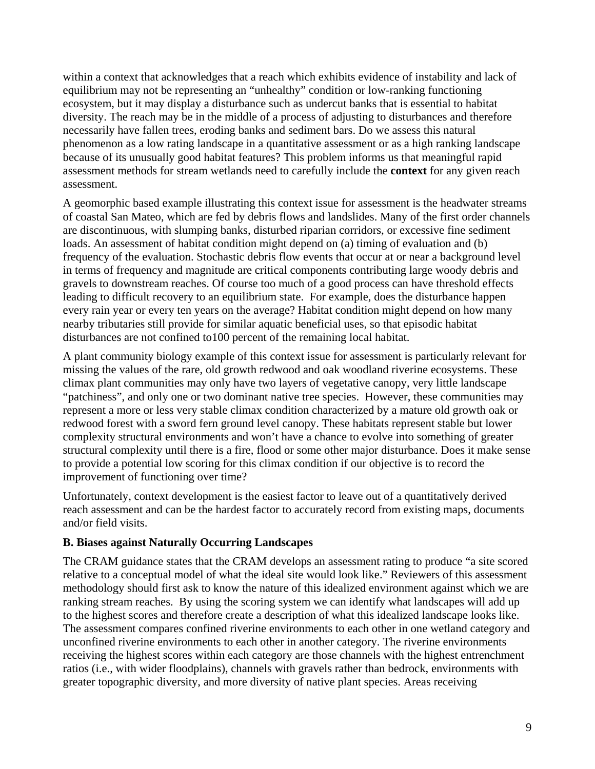within a context that acknowledges that a reach which exhibits evidence of instability and lack of equilibrium may not be representing an "unhealthy" condition or low-ranking functioning ecosystem, but it may display a disturbance such as undercut banks that is essential to habitat diversity. The reach may be in the middle of a process of adjusting to disturbances and therefore necessarily have fallen trees, eroding banks and sediment bars. Do we assess this natural phenomenon as a low rating landscape in a quantitative assessment or as a high ranking landscape because of its unusually good habitat features? This problem informs us that meaningful rapid assessment methods for stream wetlands need to carefully include the **context** for any given reach assessment.

A geomorphic based example illustrating this context issue for assessment is the headwater streams of coastal San Mateo, which are fed by debris flows and landslides. Many of the first order channels are discontinuous, with slumping banks, disturbed riparian corridors, or excessive fine sediment loads. An assessment of habitat condition might depend on (a) timing of evaluation and (b) frequency of the evaluation. Stochastic debris flow events that occur at or near a background level in terms of frequency and magnitude are critical components contributing large woody debris and gravels to downstream reaches. Of course too much of a good process can have threshold effects leading to difficult recovery to an equilibrium state. For example, does the disturbance happen every rain year or every ten years on the average? Habitat condition might depend on how many nearby tributaries still provide for similar aquatic beneficial uses, so that episodic habitat disturbances are not confined to100 percent of the remaining local habitat.

A plant community biology example of this context issue for assessment is particularly relevant for missing the values of the rare, old growth redwood and oak woodland riverine ecosystems. These climax plant communities may only have two layers of vegetative canopy, very little landscape "patchiness", and only one or two dominant native tree species. However, these communities may represent a more or less very stable climax condition characterized by a mature old growth oak or redwood forest with a sword fern ground level canopy. These habitats represent stable but lower complexity structural environments and won't have a chance to evolve into something of greater structural complexity until there is a fire, flood or some other major disturbance. Does it make sense to provide a potential low scoring for this climax condition if our objective is to record the improvement of functioning over time?

Unfortunately, context development is the easiest factor to leave out of a quantitatively derived reach assessment and can be the hardest factor to accurately record from existing maps, documents and/or field visits.

#### **B. Biases against Naturally Occurring Landscapes**

The CRAM guidance states that the CRAM develops an assessment rating to produce "a site scored relative to a conceptual model of what the ideal site would look like." Reviewers of this assessment methodology should first ask to know the nature of this idealized environment against which we are ranking stream reaches. By using the scoring system we can identify what landscapes will add up to the highest scores and therefore create a description of what this idealized landscape looks like. The assessment compares confined riverine environments to each other in one wetland category and unconfined riverine environments to each other in another category. The riverine environments receiving the highest scores within each category are those channels with the highest entrenchment ratios (i.e., with wider floodplains), channels with gravels rather than bedrock, environments with greater topographic diversity, and more diversity of native plant species. Areas receiving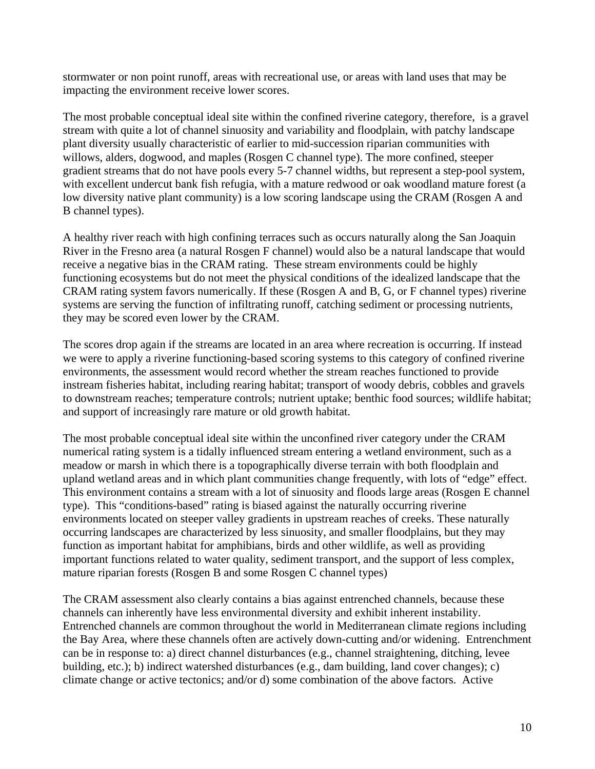stormwater or non point runoff, areas with recreational use, or areas with land uses that may be impacting the environment receive lower scores.

The most probable conceptual ideal site within the confined riverine category, therefore, is a gravel stream with quite a lot of channel sinuosity and variability and floodplain, with patchy landscape plant diversity usually characteristic of earlier to mid-succession riparian communities with willows, alders, dogwood, and maples (Rosgen C channel type). The more confined, steeper gradient streams that do not have pools every 5-7 channel widths, but represent a step-pool system, with excellent undercut bank fish refugia, with a mature redwood or oak woodland mature forest (a low diversity native plant community) is a low scoring landscape using the CRAM (Rosgen A and B channel types).

A healthy river reach with high confining terraces such as occurs naturally along the San Joaquin River in the Fresno area (a natural Rosgen F channel) would also be a natural landscape that would receive a negative bias in the CRAM rating. These stream environments could be highly functioning ecosystems but do not meet the physical conditions of the idealized landscape that the CRAM rating system favors numerically. If these (Rosgen A and B, G, or F channel types) riverine systems are serving the function of infiltrating runoff, catching sediment or processing nutrients, they may be scored even lower by the CRAM.

The scores drop again if the streams are located in an area where recreation is occurring. If instead we were to apply a riverine functioning-based scoring systems to this category of confined riverine environments, the assessment would record whether the stream reaches functioned to provide instream fisheries habitat, including rearing habitat; transport of woody debris, cobbles and gravels to downstream reaches; temperature controls; nutrient uptake; benthic food sources; wildlife habitat; and support of increasingly rare mature or old growth habitat.

The most probable conceptual ideal site within the unconfined river category under the CRAM numerical rating system is a tidally influenced stream entering a wetland environment, such as a meadow or marsh in which there is a topographically diverse terrain with both floodplain and upland wetland areas and in which plant communities change frequently, with lots of "edge" effect. This environment contains a stream with a lot of sinuosity and floods large areas (Rosgen E channel type). This "conditions-based" rating is biased against the naturally occurring riverine environments located on steeper valley gradients in upstream reaches of creeks. These naturally occurring landscapes are characterized by less sinuosity, and smaller floodplains, but they may function as important habitat for amphibians, birds and other wildlife, as well as providing important functions related to water quality, sediment transport, and the support of less complex, mature riparian forests (Rosgen B and some Rosgen C channel types)

The CRAM assessment also clearly contains a bias against entrenched channels, because these channels can inherently have less environmental diversity and exhibit inherent instability. Entrenched channels are common throughout the world in Mediterranean climate regions including the Bay Area, where these channels often are actively down-cutting and/or widening. Entrenchment can be in response to: a) direct channel disturbances (e.g., channel straightening, ditching, levee building, etc.); b) indirect watershed disturbances (e.g., dam building, land cover changes); c) climate change or active tectonics; and/or d) some combination of the above factors. Active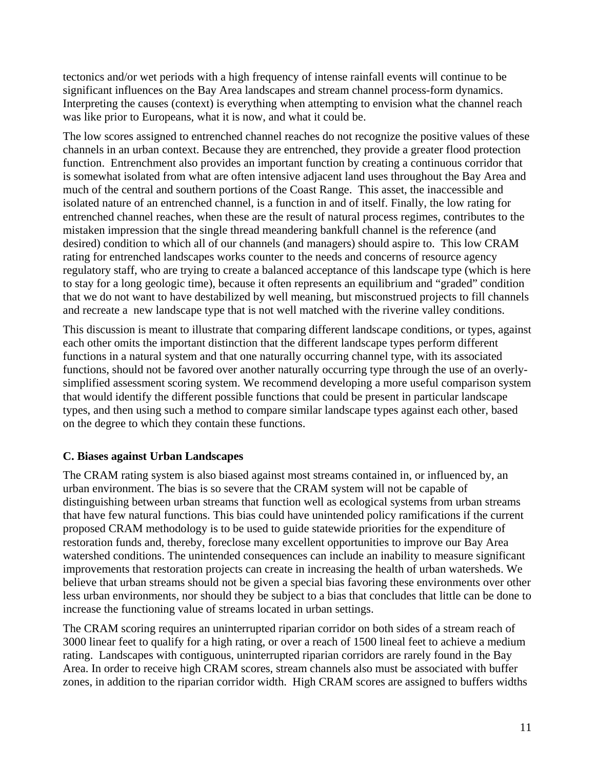tectonics and/or wet periods with a high frequency of intense rainfall events will continue to be significant influences on the Bay Area landscapes and stream channel process-form dynamics. Interpreting the causes (context) is everything when attempting to envision what the channel reach was like prior to Europeans, what it is now, and what it could be.

The low scores assigned to entrenched channel reaches do not recognize the positive values of these channels in an urban context. Because they are entrenched, they provide a greater flood protection function. Entrenchment also provides an important function by creating a continuous corridor that is somewhat isolated from what are often intensive adjacent land uses throughout the Bay Area and much of the central and southern portions of the Coast Range. This asset, the inaccessible and isolated nature of an entrenched channel, is a function in and of itself. Finally, the low rating for entrenched channel reaches, when these are the result of natural process regimes, contributes to the mistaken impression that the single thread meandering bankfull channel is the reference (and desired) condition to which all of our channels (and managers) should aspire to. This low CRAM rating for entrenched landscapes works counter to the needs and concerns of resource agency regulatory staff, who are trying to create a balanced acceptance of this landscape type (which is here to stay for a long geologic time), because it often represents an equilibrium and "graded" condition that we do not want to have destabilized by well meaning, but misconstrued projects to fill channels and recreate a new landscape type that is not well matched with the riverine valley conditions.

This discussion is meant to illustrate that comparing different landscape conditions, or types, against each other omits the important distinction that the different landscape types perform different functions in a natural system and that one naturally occurring channel type, with its associated functions, should not be favored over another naturally occurring type through the use of an overlysimplified assessment scoring system. We recommend developing a more useful comparison system that would identify the different possible functions that could be present in particular landscape types, and then using such a method to compare similar landscape types against each other, based on the degree to which they contain these functions.

#### **C. Biases against Urban Landscapes**

The CRAM rating system is also biased against most streams contained in, or influenced by, an urban environment. The bias is so severe that the CRAM system will not be capable of distinguishing between urban streams that function well as ecological systems from urban streams that have few natural functions. This bias could have unintended policy ramifications if the current proposed CRAM methodology is to be used to guide statewide priorities for the expenditure of restoration funds and, thereby, foreclose many excellent opportunities to improve our Bay Area watershed conditions. The unintended consequences can include an inability to measure significant improvements that restoration projects can create in increasing the health of urban watersheds. We believe that urban streams should not be given a special bias favoring these environments over other less urban environments, nor should they be subject to a bias that concludes that little can be done to increase the functioning value of streams located in urban settings.

The CRAM scoring requires an uninterrupted riparian corridor on both sides of a stream reach of 3000 linear feet to qualify for a high rating, or over a reach of 1500 lineal feet to achieve a medium rating. Landscapes with contiguous, uninterrupted riparian corridors are rarely found in the Bay Area. In order to receive high CRAM scores, stream channels also must be associated with buffer zones, in addition to the riparian corridor width. High CRAM scores are assigned to buffers widths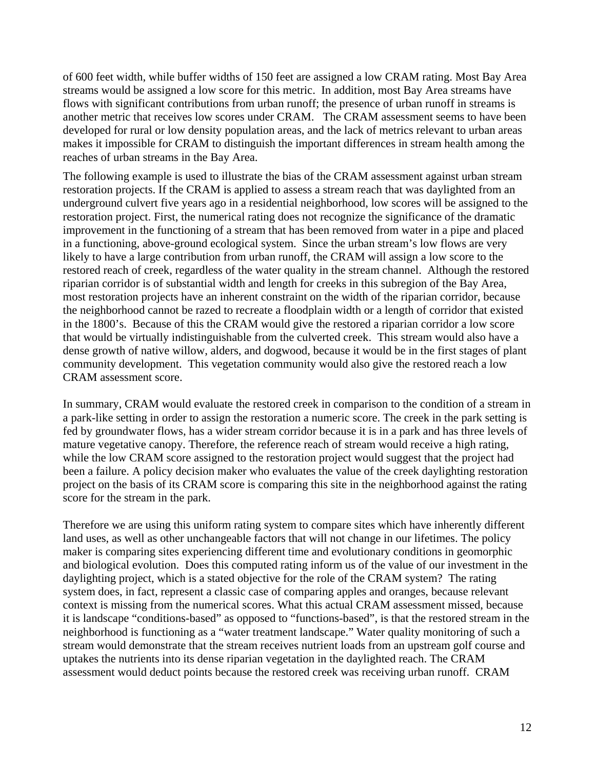of 600 feet width, while buffer widths of 150 feet are assigned a low CRAM rating. Most Bay Area streams would be assigned a low score for this metric. In addition, most Bay Area streams have flows with significant contributions from urban runoff; the presence of urban runoff in streams is another metric that receives low scores under CRAM. The CRAM assessment seems to have been developed for rural or low density population areas, and the lack of metrics relevant to urban areas makes it impossible for CRAM to distinguish the important differences in stream health among the reaches of urban streams in the Bay Area.

The following example is used to illustrate the bias of the CRAM assessment against urban stream restoration projects. If the CRAM is applied to assess a stream reach that was daylighted from an underground culvert five years ago in a residential neighborhood, low scores will be assigned to the restoration project. First, the numerical rating does not recognize the significance of the dramatic improvement in the functioning of a stream that has been removed from water in a pipe and placed in a functioning, above-ground ecological system. Since the urban stream's low flows are very likely to have a large contribution from urban runoff, the CRAM will assign a low score to the restored reach of creek, regardless of the water quality in the stream channel. Although the restored riparian corridor is of substantial width and length for creeks in this subregion of the Bay Area, most restoration projects have an inherent constraint on the width of the riparian corridor, because the neighborhood cannot be razed to recreate a floodplain width or a length of corridor that existed in the 1800's. Because of this the CRAM would give the restored a riparian corridor a low score that would be virtually indistinguishable from the culverted creek. This stream would also have a dense growth of native willow, alders, and dogwood, because it would be in the first stages of plant community development. This vegetation community would also give the restored reach a low CRAM assessment score.

In summary, CRAM would evaluate the restored creek in comparison to the condition of a stream in a park-like setting in order to assign the restoration a numeric score. The creek in the park setting is fed by groundwater flows, has a wider stream corridor because it is in a park and has three levels of mature vegetative canopy. Therefore, the reference reach of stream would receive a high rating, while the low CRAM score assigned to the restoration project would suggest that the project had been a failure. A policy decision maker who evaluates the value of the creek daylighting restoration project on the basis of its CRAM score is comparing this site in the neighborhood against the rating score for the stream in the park.

Therefore we are using this uniform rating system to compare sites which have inherently different land uses, as well as other unchangeable factors that will not change in our lifetimes. The policy maker is comparing sites experiencing different time and evolutionary conditions in geomorphic and biological evolution. Does this computed rating inform us of the value of our investment in the daylighting project, which is a stated objective for the role of the CRAM system? The rating system does, in fact, represent a classic case of comparing apples and oranges, because relevant context is missing from the numerical scores. What this actual CRAM assessment missed, because it is landscape "conditions-based" as opposed to "functions-based", is that the restored stream in the neighborhood is functioning as a "water treatment landscape." Water quality monitoring of such a stream would demonstrate that the stream receives nutrient loads from an upstream golf course and uptakes the nutrients into its dense riparian vegetation in the daylighted reach. The CRAM assessment would deduct points because the restored creek was receiving urban runoff. CRAM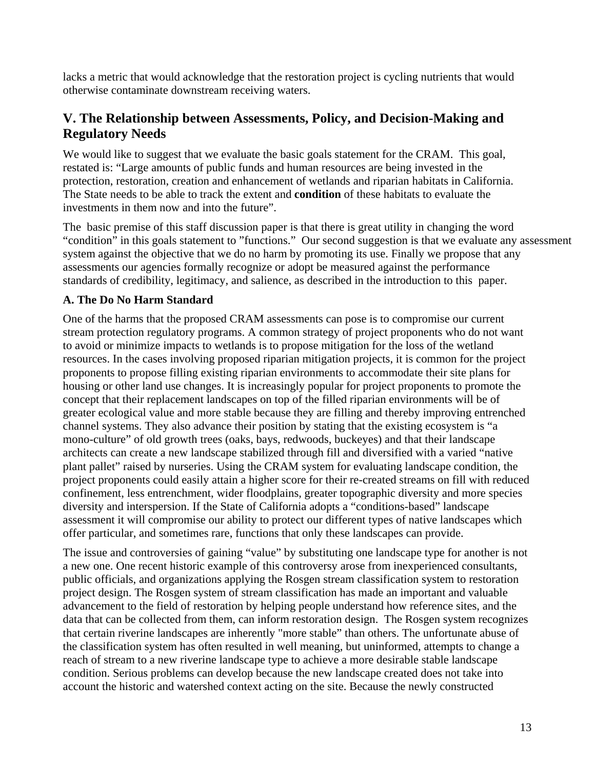lacks a metric that would acknowledge that the restoration project is cycling nutrients that would otherwise contaminate downstream receiving waters.

### **V. The Relationship between Assessments, Policy, and Decision-Making and Regulatory Needs**

We would like to suggest that we evaluate the basic goals statement for the CRAM. This goal, restated is: "Large amounts of public funds and human resources are being invested in the protection, restoration, creation and enhancement of wetlands and riparian habitats in California. The State needs to be able to track the extent and **condition** of these habitats to evaluate the investments in them now and into the future".

The basic premise of this staff discussion paper is that there is great utility in changing the word "condition" in this goals statement to "functions." Our second suggestion is that we evaluate any assessment system against the objective that we do no harm by promoting its use. Finally we propose that any assessments our agencies formally recognize or adopt be measured against the performance standards of credibility, legitimacy, and salience, as described in the introduction to this paper.

#### **A. The Do No Harm Standard**

One of the harms that the proposed CRAM assessments can pose is to compromise our current stream protection regulatory programs. A common strategy of project proponents who do not want to avoid or minimize impacts to wetlands is to propose mitigation for the loss of the wetland resources. In the cases involving proposed riparian mitigation projects, it is common for the project proponents to propose filling existing riparian environments to accommodate their site plans for housing or other land use changes. It is increasingly popular for project proponents to promote the concept that their replacement landscapes on top of the filled riparian environments will be of greater ecological value and more stable because they are filling and thereby improving entrenched channel systems. They also advance their position by stating that the existing ecosystem is "a mono-culture" of old growth trees (oaks, bays, redwoods, buckeyes) and that their landscape architects can create a new landscape stabilized through fill and diversified with a varied "native plant pallet" raised by nurseries. Using the CRAM system for evaluating landscape condition, the project proponents could easily attain a higher score for their re-created streams on fill with reduced confinement, less entrenchment, wider floodplains, greater topographic diversity and more species diversity and interspersion. If the State of California adopts a "conditions-based" landscape assessment it will compromise our ability to protect our different types of native landscapes which offer particular, and sometimes rare, functions that only these landscapes can provide.

The issue and controversies of gaining "value" by substituting one landscape type for another is not a new one. One recent historic example of this controversy arose from inexperienced consultants, public officials, and organizations applying the Rosgen stream classification system to restoration project design. The Rosgen system of stream classification has made an important and valuable advancement to the field of restoration by helping people understand how reference sites, and the data that can be collected from them, can inform restoration design. The Rosgen system recognizes that certain riverine landscapes are inherently "more stable" than others. The unfortunate abuse of the classification system has often resulted in well meaning, but uninformed, attempts to change a reach of stream to a new riverine landscape type to achieve a more desirable stable landscape condition. Serious problems can develop because the new landscape created does not take into account the historic and watershed context acting on the site. Because the newly constructed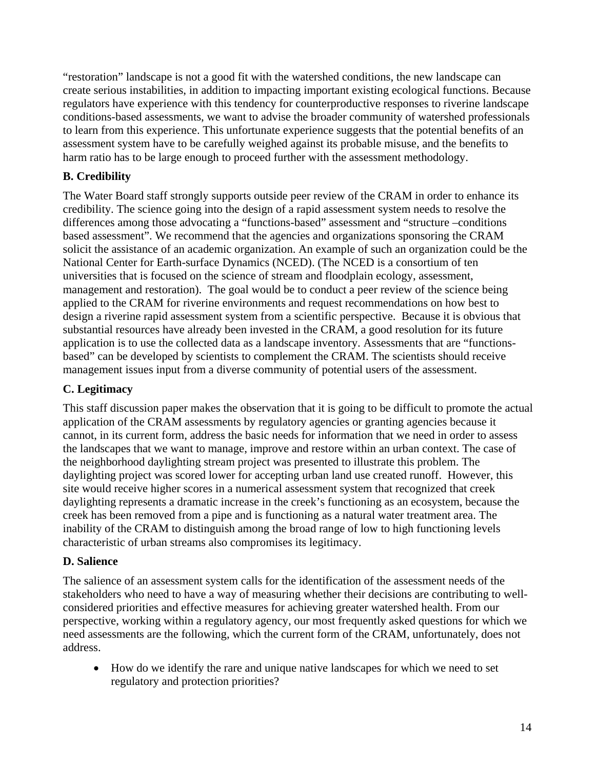"restoration" landscape is not a good fit with the watershed conditions, the new landscape can create serious instabilities, in addition to impacting important existing ecological functions. Because regulators have experience with this tendency for counterproductive responses to riverine landscape conditions-based assessments, we want to advise the broader community of watershed professionals to learn from this experience. This unfortunate experience suggests that the potential benefits of an assessment system have to be carefully weighed against its probable misuse, and the benefits to harm ratio has to be large enough to proceed further with the assessment methodology.

### **B. Credibility**

The Water Board staff strongly supports outside peer review of the CRAM in order to enhance its credibility. The science going into the design of a rapid assessment system needs to resolve the differences among those advocating a "functions-based" assessment and "structure –conditions based assessment". We recommend that the agencies and organizations sponsoring the CRAM solicit the assistance of an academic organization. An example of such an organization could be the National Center for Earth-surface Dynamics (NCED). (The NCED is a consortium of ten universities that is focused on the science of stream and floodplain ecology, assessment, management and restoration). The goal would be to conduct a peer review of the science being applied to the CRAM for riverine environments and request recommendations on how best to design a riverine rapid assessment system from a scientific perspective. Because it is obvious that substantial resources have already been invested in the CRAM, a good resolution for its future application is to use the collected data as a landscape inventory. Assessments that are "functionsbased" can be developed by scientists to complement the CRAM. The scientists should receive management issues input from a diverse community of potential users of the assessment.

### **C. Legitimacy**

This staff discussion paper makes the observation that it is going to be difficult to promote the actual application of the CRAM assessments by regulatory agencies or granting agencies because it cannot, in its current form, address the basic needs for information that we need in order to assess the landscapes that we want to manage, improve and restore within an urban context. The case of the neighborhood daylighting stream project was presented to illustrate this problem. The daylighting project was scored lower for accepting urban land use created runoff. However, this site would receive higher scores in a numerical assessment system that recognized that creek daylighting represents a dramatic increase in the creek's functioning as an ecosystem, because the creek has been removed from a pipe and is functioning as a natural water treatment area. The inability of the CRAM to distinguish among the broad range of low to high functioning levels characteristic of urban streams also compromises its legitimacy.

### **D. Salience**

The salience of an assessment system calls for the identification of the assessment needs of the stakeholders who need to have a way of measuring whether their decisions are contributing to wellconsidered priorities and effective measures for achieving greater watershed health. From our perspective, working within a regulatory agency, our most frequently asked questions for which we need assessments are the following, which the current form of the CRAM, unfortunately, does not address.

• How do we identify the rare and unique native landscapes for which we need to set regulatory and protection priorities?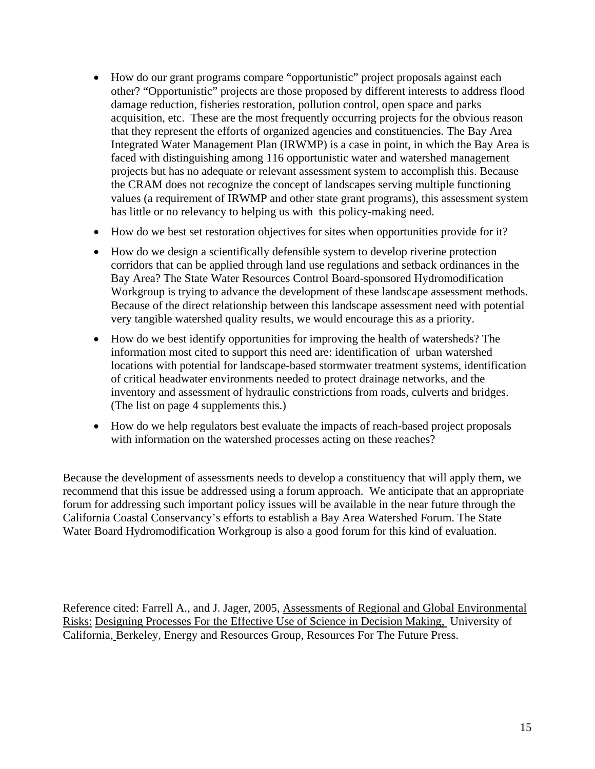- How do our grant programs compare "opportunistic" project proposals against each other? "Opportunistic" projects are those proposed by different interests to address flood damage reduction, fisheries restoration, pollution control, open space and parks acquisition, etc. These are the most frequently occurring projects for the obvious reason that they represent the efforts of organized agencies and constituencies. The Bay Area Integrated Water Management Plan (IRWMP) is a case in point, in which the Bay Area is faced with distinguishing among 116 opportunistic water and watershed management projects but has no adequate or relevant assessment system to accomplish this. Because the CRAM does not recognize the concept of landscapes serving multiple functioning values (a requirement of IRWMP and other state grant programs), this assessment system has little or no relevancy to helping us with this policy-making need.
- How do we best set restoration objectives for sites when opportunities provide for it?
- How do we design a scientifically defensible system to develop riverine protection corridors that can be applied through land use regulations and setback ordinances in the Bay Area? The State Water Resources Control Board-sponsored Hydromodification Workgroup is trying to advance the development of these landscape assessment methods. Because of the direct relationship between this landscape assessment need with potential very tangible watershed quality results, we would encourage this as a priority.
- How do we best identify opportunities for improving the health of watersheds? The information most cited to support this need are: identification of urban watershed locations with potential for landscape-based stormwater treatment systems, identification of critical headwater environments needed to protect drainage networks, and the inventory and assessment of hydraulic constrictions from roads, culverts and bridges. (The list on page 4 supplements this.)
- How do we help regulators best evaluate the impacts of reach-based project proposals with information on the watershed processes acting on these reaches?

Because the development of assessments needs to develop a constituency that will apply them, we recommend that this issue be addressed using a forum approach. We anticipate that an appropriate forum for addressing such important policy issues will be available in the near future through the California Coastal Conservancy's efforts to establish a Bay Area Watershed Forum. The State Water Board Hydromodification Workgroup is also a good forum for this kind of evaluation.

Reference cited: Farrell A., and J. Jager, 2005, Assessments of Regional and Global Environmental Risks: Designing Processes For the Effective Use of Science in Decision Making, University of California, Berkeley, Energy and Resources Group, Resources For The Future Press.